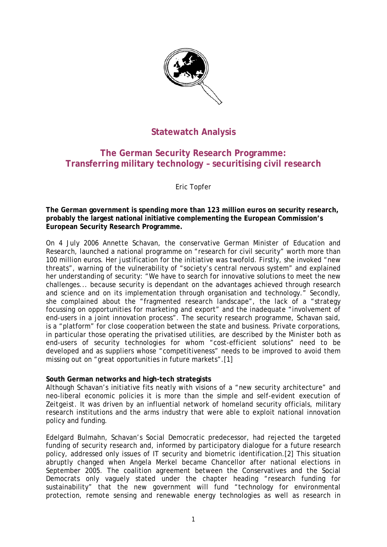

# **Statewatch Analysis**

## **The German Security Research Programme: Transferring military technology – securitising civil research**

Eric Topfer

**The German government is spending more than 123 million euros on security research, probably the largest national initiative complementing the European Commission's European Security Research Programme.** 

On 4 July 2006 Annette Schavan, the conservative German Minister of Education and Research, launched a national programme on "research for civil security" worth more than 100 million euros. Her justification for the initiative was twofold. Firstly, she invoked "new threats", warning of the vulnerability of "society's central nervous system" and explained her understanding of security: "We have to search for innovative solutions to meet the new challenges... because security is dependant on the advantages achieved through research and science and on its implementation through organisation and technology." Secondly, she complained about the "fragmented research landscape", the lack of a "strategy focussing on opportunities for marketing and export" and the inadequate "involvement of end-users in a joint innovation process". The security research programme, Schavan said, is a "platform" for close cooperation between the state and business. Private corporations, in particular those operating the privatised utilities, are described by the Minister both as end-users of security technologies for whom "cost-efficient solutions" need to be developed and as suppliers whose "competitiveness" needs to be improved to avoid them missing out on "great opportunities in future markets".[1]

### **South German networks and high-tech strategists**

Although Schavan's initiative fits neatly with visions of a "new security architecture" and neo-liberal economic policies it is more than the simple and self-evident execution of *Zeitgeist*. It was driven by an influential network of homeland security officials, military research institutions and the arms industry that were able to exploit national innovation policy and funding.

Edelgard Bulmahn, Schavan's Social Democratic predecessor, had rejected the targeted funding of security research and, informed by participatory dialogue for a future research policy, addressed only issues of IT security and biometric identification.[2] This situation abruptly changed when Angela Merkel became Chancellor after national elections in September 2005. The coalition agreement between the Conservatives and the Social Democrats only vaguely stated under the chapter heading "research funding for sustainability" that the new government will fund "technology for environmental protection, remote sensing and renewable energy technologies as well as research in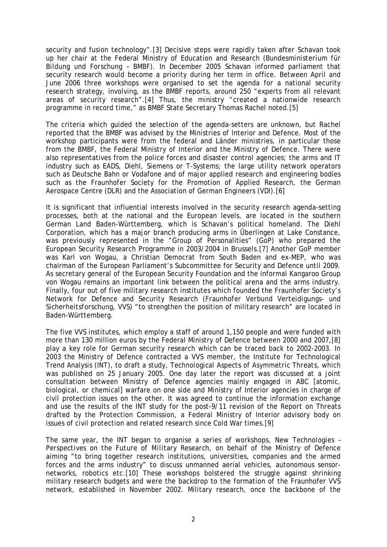security and fusion technology".[3] Decisive steps were rapidly taken after Schavan took up her chair at the Federal Ministry of Education and Research (*Bundesministerium für Bildung und Forschung* – BMBF). In December 2005 Schavan informed parliament that security research would become a priority during her term in office. Between April and June 2006 three workshops were organised to set the agenda for a national security research strategy, involving, as the BMBF reports, around 250 "experts from all relevant areas of security research".[4] Thus, the ministry "created a nationwide research programme in record time," as BMBF State Secretary Thomas Rachel noted.[5]

The criteria which guided the selection of the agenda-setters are unknown, but Rachel reported that the BMBF was advised by the Ministries of Interior and Defence. Most of the workshop participants were from the federal and *Länder* ministries, in particular those from the BMBF, the Federal Ministry of Interior and the Ministry of Defence. There were also representatives from the police forces and disaster control agencies; the arms and IT industry such as EADS, Diehl, Siemens or T-Systems; the large utility network operators such as Deutsche Bahn or Vodafone and of major applied research and engineering bodies such as the Fraunhofer Society for the Promotion of Applied Research, the German Aerospace Centre (DLR) and the Association of German Engineers (VDI).[6]

It is significant that influential interests involved in the security research agenda-setting processes, both at the national and the European levels, are located in the southern German *Land* Baden-Württemberg, which is Schavan's political homeland. The Diehl Corporation, which has a major branch producing arms in Überlingen at Lake Constance, was previously represented in the "Group of Personalities" (GoP) who prepared the European Security Research Programme in 2003/2004 in Brussels.[7] Another GoP member was Karl von Wogau, a Christian Democrat from South Baden and ex-MEP, who was chairman of the European Parliament's Subcommittee for Security and Defence until 2009. As secretary general of the European Security Foundation and the informal Kangaroo Group von Wogau remains an important link between the political arena and the arms industry. Finally, four out of five military research institutes which founded the Fraunhofer Society's Network for Defence and Security Research (*Fraunhofer Verbund Verteidigungs- und Sicherheitsforschung*, VVS) "to strengthen the position of military research" are located in Baden-Württemberg.

The five VVS institutes, which employ a staff of around 1,150 people and were funded with more than 130 million euros by the Federal Ministry of Defence between 2000 and 2007,[8] play a key role for German security research which can be traced back to 2002-2003. In 2003 the Ministry of Defence contracted a VVS member, the Institute for Technological Trend Analysis (INT), to draft a study, *Technological Aspects of Asymmetric Threats*, which was published on 25 January 2005. One day later the report was discussed at a joint consultation between Ministry of Defence agencies mainly engaged in ABC [atomic, biological, or chemical] warfare on one side and Ministry of Interior agencies in charge of civil protection issues on the other. It was agreed to continue the information exchange and use the results of the INT study for the post-9/11 revision of the *Report on Threats* drafted by the Protection Commission, a Federal Ministry of Interior advisory body on issues of civil protection and related research since Cold War times.[9]

The same year, the INT began to organise a series of workshops, *New Technologies – Perspectives on the Future of Military Research*, on behalf of the Ministry of Defence aiming "to bring together research institutions, universities, companies and the armed forces and the arms industry" to discuss unmanned aerial vehicles, autonomous sensornetworks, robotics etc.[10] These workshops bolstered the struggle against shrinking military research budgets and were the backdrop to the formation of the Fraunhofer VVS network, established in November 2002. Military research, once the backbone of the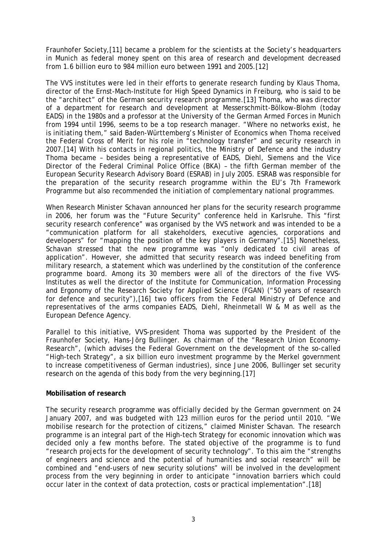Fraunhofer Society,[11] became a problem for the scientists at the Society's headquarters in Munich as federal money spent on this area of research and development decreased from 1.6 billion euro to 984 million euro between 1991 and 2005.[12]

The VVS institutes were led in their efforts to generate research funding by Klaus Thoma, director of the Ernst-Mach-Institute for High Speed Dynamics in Freiburg, who is said to be the "architect" of the German security research programme.[13] Thoma, who was director of a department for research and development at Messerschmitt-Bölkow-Blohm (today EADS) in the 1980s and a professor at the University of the German Armed Forces in Munich from 1994 until 1996, seems to be a top research manager. "Where no networks exist, he is initiating them," said Baden-Württemberg's Minister of Economics when Thoma received the Federal Cross of Merit for his role in "technology transfer" and security research in 2007.[14] With his contacts in regional politics, the Ministry of Defence and the industry Thoma became – besides being a representative of EADS, Diehl, Siemens and the Vice Director of the Federal Criminal Police Office (BKA) – the fifth German member of the European Security Research Advisory Board (ESRAB) in July 2005. ESRAB was responsible for the preparation of the security research programme within the EU's 7th Framework Programme but also recommended the initiation of complementary national programmes.

When Research Minister Schavan announced her plans for the security research programme in 2006, her forum was the "Future Security" conference held in Karlsruhe. This "first security research conference" was organised by the VVS network and was intended to be a "communication platform for all stakeholders, executive agencies, corporations and developers" for "mapping the position of the key players in Germany".[15] Nonetheless, Schavan stressed that the new programme was "only dedicated to civil areas of application". However, she admitted that security research was indeed benefiting from military research, a statement which was underlined by the constitution of the conference programme board. Among its 30 members were all of the directors of the five VVS-Institutes as well the director of the Institute for Communication, Information Processing and Ergonomy of the Research Society for Applied Science (FGAN) ("50 years of research for defence and security"),[16] two officers from the Federal Ministry of Defence and representatives of the arms companies EADS, Diehl, Rheinmetall W & M as well as the European Defence Agency.

Parallel to this initiative, VVS-president Thoma was supported by the President of the Fraunhofer Society, Hans-Jörg Bullinger. As chairman of the "Research Union Economy-Research", (which advises the Federal Government on the development of the so-called "High-tech Strategy", a six billion euro investment programme by the Merkel government to increase competitiveness of German industries), since June 2006, Bullinger set security research on the agenda of this body from the very beginning.[17]

### **Mobilisation of research**

The security research programme was officially decided by the German government on 24 January 2007, and was budgeted with 123 million euros for the period until 2010. "We mobilise research for the protection of citizens," claimed Minister Schavan. The research programme is an integral part of the High-tech Strategy for economic innovation which was decided only a few months before. The stated objective of the programme is to fund "research projects for the development of security technology". To this aim the "strengths of engineers and science and the potential of humanities and social research" will be combined and "end-users of new security solutions" will be involved in the development process from the very beginning in order to anticipate "innovation barriers which could occur later in the context of data protection, costs or practical implementation".[18]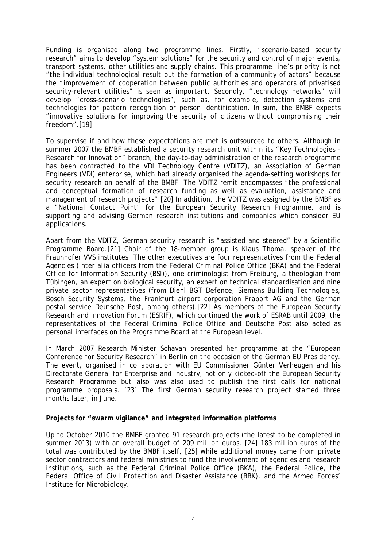Funding is organised along two programme lines. Firstly, "scenario-based security research" aims to develop "system solutions" for the security and control of major events, transport systems, other utilities and supply chains. This programme line's priority is not "the individual technological result but the formation of a community of actors" because the "improvement of cooperation between public authorities and operators of privatised security-relevant utilities" is seen as important. Secondly, "technology networks" will develop "cross-scenario technologies", such as, for example, detection systems and technologies for pattern recognition or person identification. In sum, the BMBF expects "innovative solutions for improving the security of citizens without compromising their freedom".[19]

To supervise if and how these expectations are met is outsourced to others. Although in summer 2007 the BMBF established a security research unit within its "Key Technologies - Research for Innovation" branch, the day-to-day administration of the research programme has been contracted to the VDI Technology Centre (VDITZ), an Association of German Engineers (VDI) enterprise, which had already organised the agenda-setting workshops for security research on behalf of the BMBF. The VDITZ remit encompasses "the professional and conceptual formation of research funding as well as evaluation, assistance and management of research projects".[20] In addition, the VDITZ was assigned by the BMBF as a "National Contact Point" for the European Security Research Programme, and is supporting and advising German research institutions and companies which consider EU applications.

Apart from the VDITZ, German security research is "assisted and steered" by a Scientific Programme Board.[21] Chair of the 18-member group is Klaus Thoma, speaker of the Fraunhofer VVS institutes. The other executives are four representatives from the Federal Agencies (*inter alia* officers from the Federal Criminal Police Office (BKA) and the Federal Office for Information Security (BSI)), one criminologist from Freiburg, a theologian from Tübingen, an expert on biological security, an expert on technical standardisation and nine private sector representatives (from Diehl BGT Defence, Siemens Building Technologies, Bosch Security Systems, the Frankfurt airport corporation Fraport AG and the German postal service Deutsche Post, among others).[22] As members of the European Security Research and Innovation Forum (ESRIF), which continued the work of ESRAB until 2009, the representatives of the Federal Criminal Police Office and Deutsche Post also acted as personal interfaces on the Programme Board at the European level.

In March 2007 Research Minister Schavan presented her programme at the "European Conference for Security Research" in Berlin on the occasion of the German EU Presidency. The event, organised in collaboration with EU Commissioner Günter Verheugen and his Directorate General for Enterprise and Industry, not only kicked-off the European Security Research Programme but also was also used to publish the first calls for national programme proposals. [23] The first German security research project started three months later, in June.

### **Projects for "swarm vigilance" and integrated information platforms**

Up to October 2010 the BMBF granted 91 research projects (the latest to be completed in summer 2013) with an overall budget of 209 million euros. [24] 183 million euros of the total was contributed by the BMBF itself, [25] while additional money came from private sector contractors and federal ministries to fund the involvement of agencies and research institutions, such as the Federal Criminal Police Office (BKA), the Federal Police, the Federal Office of Civil Protection and Disaster Assistance (BBK), and the Armed Forces' Institute for Microbiology.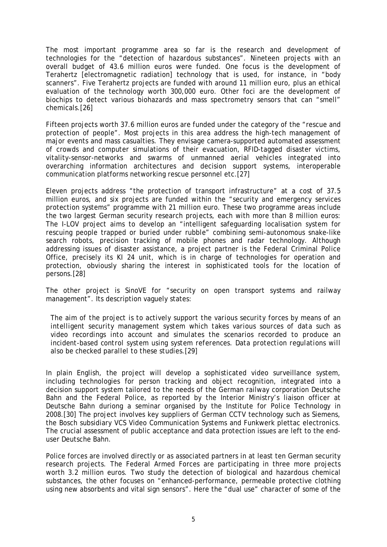The most important programme area so far is the research and development of technologies for the "detection of hazardous substances". Nineteen projects with an overall budget of 43.6 million euros were funded. One focus is the development of Terahertz [electromagnetic radiation] technology that is used, for instance, in "body scanners". Five Terahertz projects are funded with around 11 million euro, plus an ethical evaluation of the technology worth 300,000 euro. Other foci are the development of biochips to detect various biohazards and mass spectrometry sensors that can "smell" chemicals.[26]

Fifteen projects worth 37.6 million euros are funded under the category of the "rescue and protection of people". Most projects in this area address the high-tech management of major events and mass casualties. They envisage camera-supported automated assessment of crowds and computer simulations of their evacuation, RFID-tagged disaster victims, vitality-sensor-networks and swarms of unmanned aerial vehicles integrated into overarching information architectures and decision support systems, interoperable communication platforms networking rescue personnel etc.[27]

Eleven projects address "the protection of transport infrastructure" at a cost of 37.5 million euros, and six projects are funded within the "security and emergency services protection systems" programme with 21 million euro. These two programme areas include the two largest German security research projects, each with more than 8 million euros: The I-LOV project aims to develop an "intelligent safeguarding localisation system for rescuing people trapped or buried under rubble" combining semi-autonomous snake-like search robots, precision tracking of mobile phones and radar technology. Although addressing issues of disaster assistance, a project partner is the Federal Criminal Police Office, precisely its KI 24 unit, which is in charge of technologies for operation and protection, obviously sharing the interest in sophisticated tools for the location of persons.[28]

The other project is SinoVE for "security on open transport systems and railway management". Its description vaguely states:

*The aim of the project is to actively support the various security forces by means of an intelligent security management system which takes various sources of data such as video recordings into account and simulates the scenarios recorded to produce an incident-based control system using system references. Data protection regulations will also be checked parallel to these studies.[29]* 

In plain English, the project will develop a sophisticated video surveillance system, including technologies for person tracking and object recognition, integrated into a decision support system tailored to the needs of the German railway corporation Deutsche Bahn and the Federal Police, as reported by the Interior Ministry's liaison officer at Deutsche Bahn duriong a seminar organised by the Institute for Police Technology in 2008.[30] The project involves key suppliers of German CCTV technology such as Siemens, the Bosch subsidiary VCS Video Communication Systems and Funkwerk plettac electronics. The crucial assessment of public acceptance and data protection issues are left to the enduser Deutsche Bahn.

Police forces are involved directly or as associated partners in at least ten German security research projects. The Federal Armed Forces are participating in three more projects worth 3.2 million euros. Two study the detection of biological and hazardous chemical substances, the other focuses on "enhanced-performance, permeable protective clothing using new absorbents and vital sign sensors". Here the "dual use" character of some of the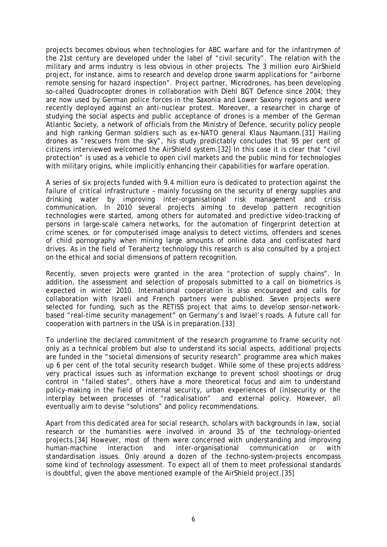projects becomes obvious when technologies for ABC warfare and for the infantrymen of the 21st century are developed under the label of "civil security". The relation with the military and arms industry is less obvious in other projects. The 3 million euro AirShield project, for instance, aims to research and develop drone swarm applications for "airborne remote sensing for hazard inspection". Project partner, Microdrones, has been developing so-called Quadrocopter drones in collaboration with Diehl BGT Defence since 2004; they are now used by German police forces in the Saxonia and Lower Saxony regions and were recently deployed against an anti-nuclear protest. Moreover, a researcher in charge of studying the social aspects and public acceptance of drones is a member of the German Atlantic Society, a network of officials from the Ministry of Defence, security policy people and high ranking German soldiers such as ex-NATO general Klaus Naumann.[31] Hailing drones as "rescuers from the sky", his study predictably concludes that 95 per cent of citizens interviewed welcomed the AirShield system.[32] In this case it is clear that "civil protection" is used as a vehicle to open civil markets and the public mind for technologies with military origins, while implicitly enhancing their capabilities for warfare operation.

A series of six projects funded with 9.4 million euro is dedicated to protection against the failure of critical infrastructure – mainly focussing on the security of energy supplies and drinking water by improving inter-organisational risk management and crisis communication. In 2010 several projects aiming to develop pattern recognition technologies were started, among others for automated and predictive video-tracking of persons in large-scale camera networks, for the automation of fingerprint detection at crime scenes, or for computerised image analysis to detect victims, offenders and scenes of child pornography when mining large amounts of online data and confiscated hard drives. As in the field of Terahertz technology this research is also consulted by a project on the ethical and social dimensions of pattern recognition.

Recently, seven projects were granted in the area "protection of supply chains". In addition, the assessment and selection of proposals submitted to a call on biometrics is expected in winter 2010. International cooperation is also encouraged and calls for collaboration with Israeli and French partners were published. Seven projects were selected for funding, such as the RETISS project that aims to develop sensor-networkbased "real-time security management" on Germany's and Israel's roads. A future call for cooperation with partners in the USA is in preparation.[33]

To underline the declared commitment of the research programme to frame security not only as a technical problem but also to understand its social aspects, additional projects are funded in the "societal dimensions of security research" programme area which makes up 6 per cent of the total security research budget. While some of these projects address very practical issues such as information exchange to prevent school shootings or drug control in "failed states", others have a more theoretical focus and aim to understand policy-making in the field of internal security, urban experiences of (in)security or the interplay between processes of "radicalisation" and external policy. However, all eventually aim to devise "solutions" and policy recommendations.

Apart from this dedicated area for social research, scholars with backgrounds in law, social research or the humanities were involved in around 35 of the technology-oriented projects.[34] However, most of them were concerned with understanding and improving human-machine interaction and inter-organisational communication or with standardisation issues. Only around a dozen of the techno-system-projects encompass some kind of technology assessment. To expect all of them to meet professional standards is doubtful, given the above mentioned example of the AirShield project.[35]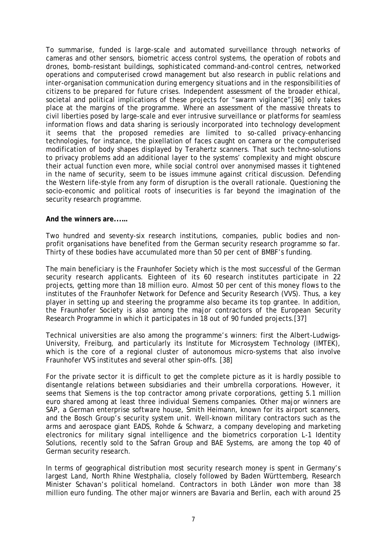To summarise, funded is large-scale and automated surveillance through networks of cameras and other sensors, biometric access control systems, the operation of robots and drones, bomb-resistant buildings, sophisticated command-and-control centres, networked operations and computerised crowd management but also research in public relations and inter-organisation communication during emergency situations and in the responsibilities of citizens to be prepared for future crises. Independent assessment of the broader ethical, societal and political implications of these projects for "swarm vigilance"[36] only takes place at the margins of the programme. Where an assessment of the massive threats to civil liberties posed by large-scale and ever intrusive surveillance or platforms for seamless information flows and data sharing is seriously incorporated into technology development it seems that the proposed remedies are limited to so-called privacy-enhancing technologies, for instance, the pixellation of faces caught on camera or the computerised modification of body shapes displayed by Terahertz scanners. That such techno-solutions to privacy problems add an additional layer to the systems' complexity and might obscure their actual function even more, while social control over anonymised masses it tightened in the name of security, seem to be issues immune against critical discussion. Defending the Western life-style from any form of disruption is the overall rationale. Questioning the socio-economic and political roots of insecurities is far beyond the imagination of the security research programme.

#### **And the winners are...…**

Two hundred and seventy-six research institutions, companies, public bodies and nonprofit organisations have benefited from the German security research programme so far. Thirty of these bodies have accumulated more than 50 per cent of BMBF's funding.

The main beneficiary is the Fraunhofer Society which is the most successful of the German security research applicants. Eighteen of its 60 research institutes participate in 22 projects, getting more than 18 million euro. Almost 50 per cent of this money flows to the institutes of the Fraunhofer Network for Defence and Security Research (VVS). Thus, a key player in setting up and steering the programme also became its top grantee. In addition, the Fraunhofer Society is also among the major contractors of the European Security Research Programme in which it participates in 18 out of 90 funded projects.[37]

Technical universities are also among the programme's winners: first the Albert-Ludwigs-University, Freiburg, and particularly its Institute for Microsystem Technology (IMTEK), which is the core of a regional cluster of autonomous micro-systems that also involve Fraunhofer VVS institutes and several other spin-offs. [38]

For the private sector it is difficult to get the complete picture as it is hardly possible to disentangle relations between subsidiaries and their umbrella corporations. However, it seems that Siemens is the top contractor among private corporations, getting 5.1 million euro shared among at least three individual Siemens companies. Other major winners are SAP, a German enterprise software house, Smith Heimann, known for its airport scanners, and the Bosch Group's security system unit. Well-known military contractors such as the arms and aerospace giant EADS, Rohde & Schwarz, a company developing and marketing electronics for military signal intelligence and the biometrics corporation L-1 Identity Solutions, recently sold to the Safran Group and BAE Systems, are among the top 40 of German security research.

In terms of geographical distribution most security research money is spent in Germany's largest *Land*, North Rhine Westphalia, closely followed by Baden Württemberg, Research Minister Schavan's political homeland. Contractors in both *Länder* won more than 38 million euro funding. The other major winners are Bavaria and Berlin, each with around 25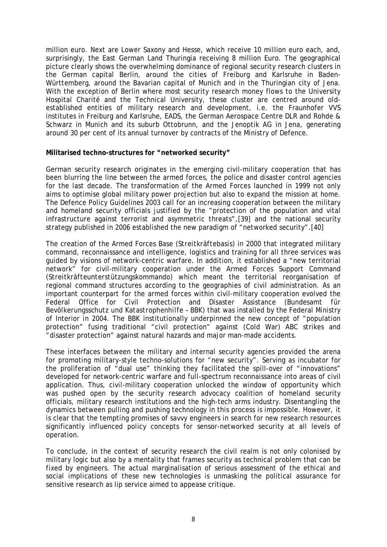million euro. Next are Lower Saxony and Hesse, which receive 10 million euro each, and, surprisingly, the East German *Land* Thuringia receiving 8 million Euro. The geographical picture clearly shows the overwhelming dominance of regional security research clusters in the German capital Berlin, around the cities of Freiburg and Karlsruhe in Baden-Württemberg, around the Bavarian capital of Munich and in the Thuringian city of Jena. With the exception of Berlin where most security research money flows to the University Hospital Charité and the Technical University, these cluster are centred around oldestablished entities of military research and development, i.e. the Fraunhofer VVS institutes in Freiburg and Karlsruhe, EADS, the German Aerospace Centre DLR and Rohde & Schwarz in Munich and its suburb Ottobrunn, and the Jenoptik AG in Jena, generating around 30 per cent of its annual turnover by contracts of the Ministry of Defence.

#### **Militarised techno-structures for "networked security"**

German security research originates in the emerging civil-military cooperation that has been blurring the line between the armed forces, the police and disaster control agencies for the last decade. The transformation of the Armed Forces launched in 1999 not only aims to optimise global military power projection but also to expand the mission at home. The Defence Policy Guidelines 2003 call for an increasing cooperation between the military and homeland security officials justified by the "protection of the population and vital infrastructure against terrorist and asymmetric threats",[39] and the national security strategy published in 2006 established the new paradigm of "networked security".[40]

The creation of the Armed Forces Base (*Streitkräftebasis*) in 2000 that integrated military command, reconnaissance and intelligence, logistics and training for all three services was guided by visions of network-centric warfare. In addition, it established a "new territorial network" for civil-military cooperation under the Armed Forces Support Command (*Streitkräfteunterstützungskommando*) which meant the territorial reorganisation of regional command structures according to the geographies of civil administration. As an important counterpart for the armed forces within civil-military cooperation evolved the Federal Office for Civil Protection and Disaster Assistance (*Bundesamt für Bevölkerungsschutz und Katastrophenhilfe* – BBK) that was installed by the Federal Ministry of Interior in 2004. The BBK institutionally underpinned the new concept of "population protection" fusing traditional "civil protection" against (Cold War) ABC strikes and "disaster protection" against natural hazards and major man-made accidents.

These interfaces between the military and internal security agencies provided the arena for promoting military-style techno-solutions for "new security". Serving as incubator for the proliferation of "dual use" thinking they facilitated the spill-over of "innovations" developed for network-centric warfare and full-spectrum reconnaissance into areas of civil application. Thus, civil-military cooperation unlocked the window of opportunity which was pushed open by the security research advocacy coalition of homeland security officials, military research institutions and the high-tech arms industry. Disentangling the dynamics between pulling and pushing technology in this process is impossible. However, it is clear that the tempting promises of savvy engineers in search for new research resources significantly influenced policy concepts for sensor-networked security at all levels of operation.

To conclude, in the context of security research the civil realm is not only colonised by military logic but also by a mentality that frames security as technical problem that can be fixed by engineers. The actual marginalisation of serious assessment of the ethical and social implications of these new technologies is unmasking the political assurance for sensitive research as lip service aimed to appease critique.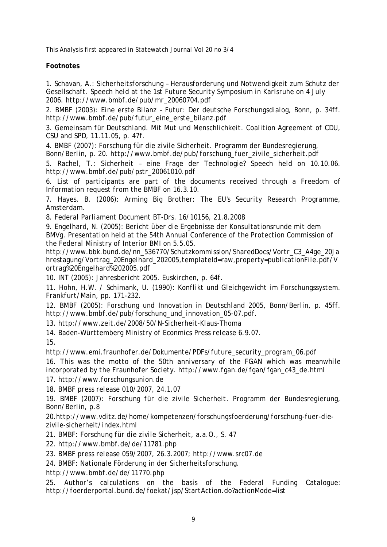This Analysis first appeared in *Statewatch Journal* Vol 20 no 3/4

### **Footnotes**

*1. Schavan, A.: Sicherheitsforschung – Herausforderung und Notwendigkeit zum Schutz der Gesellschaft. Speech held at the 1st Future Security Symposium in Karlsruhe on 4 July 2006. http://www.bmbf.de/pub/mr\_20060704.pdf* 

*2. BMBF (2003): Eine erste Bilanz – Futur: Der deutsche Forschungsdialog, Bonn, p. 34ff. http://www.bmbf.de/pub/futur\_eine\_erste\_bilanz.pdf* 

*3. Gemeinsam für Deutschland. Mit Mut und Menschlichkeit. Coalition Agreement of CDU, CSU and SPD, 11.11.05, p. 47f.* 

*4. BMBF (2007): Forschung für die zivile Sicherheit. Programm der Bundesregierung, Bonn/Berlin, p. 20. http://www.bmbf.de/pub/forschung\_fuer\_zivile\_sicherheit.pdf* 

*5. Rachel, T.: Sicherheit – eine Frage der Technologie? Speech held on 10.10.06. http://www.bmbf.de/pub/pstr\_20061010.pdf* 

*6. List of participants are part of the documents received through a Freedom of Information request from the BMBF on 16.3.10.* 

*7. Hayes, B. (2006): Arming Big Brother: The EU's Security Research Programme, Amsterdam.* 

*8. Federal Parliament Document BT-Drs. 16/10156, 21.8.2008* 

*9. Engelhard, N. (2005): Bericht über die Ergebnisse der Konsultationsrunde mit dem BMVg. Presentation held at the 54th Annual Conference of the Protection Commission of the Federal Ministry of Interior BMI on 5.5.05.* 

*http://www.bbk.bund.de/nn\_536770/Schutzkommission/SharedDocs/Vortr\_C3\_A4ge\_20Ja hrestagung/Vortrag\_20Engelhard\_202005,templateId=raw,property=publicationFile.pdf/V ortrag%20Engelhard%202005.pdf* 

*10. INT (2005): Jahresbericht 2005. Euskirchen, p. 64f.* 

*11. Hohn, H.W. / Schimank, U. (1990): Konflikt und Gleichgewicht im Forschungssystem. Frankfurt/Main, pp. 171-232.* 

*12. BMBF (2005): Forschung und Innovation in Deutschland 2005, Bonn/Berlin, p. 45ff. http://www.bmbf.de/pub/forschung\_und\_innovation\_05-07.pdf.* 

*13. http://www.zeit.de/2008/50/N-Sicherheit-Klaus-Thoma* 

*14. Baden-Württemberg Ministry of Econmics Press release 6.9.07. 15.* 

*http://www.emi.fraunhofer.de/Dokumente/PDFs/future\_security\_program\_06.pdf* 

16. This was the motto of the 50th anniversary of the FGAN which was meanwhile *incorporated by the Fraunhofer Society. http://www.fgan.de/fgan/fgan\_c43\_de.html 17. http://www.forschungsunion.de* 

*18. BMBF press release 010/2007, 24.1.07* 

*19. BMBF (2007): Forschung für die zivile Sicherheit. Programm der Bundesregierung, Bonn/Berlin, p.8* 

*20.http://www.vditz.de/home/kompetenzen/forschungsfoerderung/forschung-fuer-diezivile-sicherheit/index.html* 

*21. BMBF: Forschung für die zivile Sicherheit, a.a.O., S. 47* 

*22. http://www.bmbf.de/de/11781.php* 

*23. BMBF press release 059/2007, 26.3.2007; http://www.src07.de* 

*24. BMBF: Nationale Förderung in der Sicherheitsforschung.* 

*http://www.bmbf.de/de/11770.php* 

*25. Author's calculations on the basis of the Federal Funding Catalogue: http://foerderportal.bund.de/foekat/jsp/StartAction.do?actionMode=list*